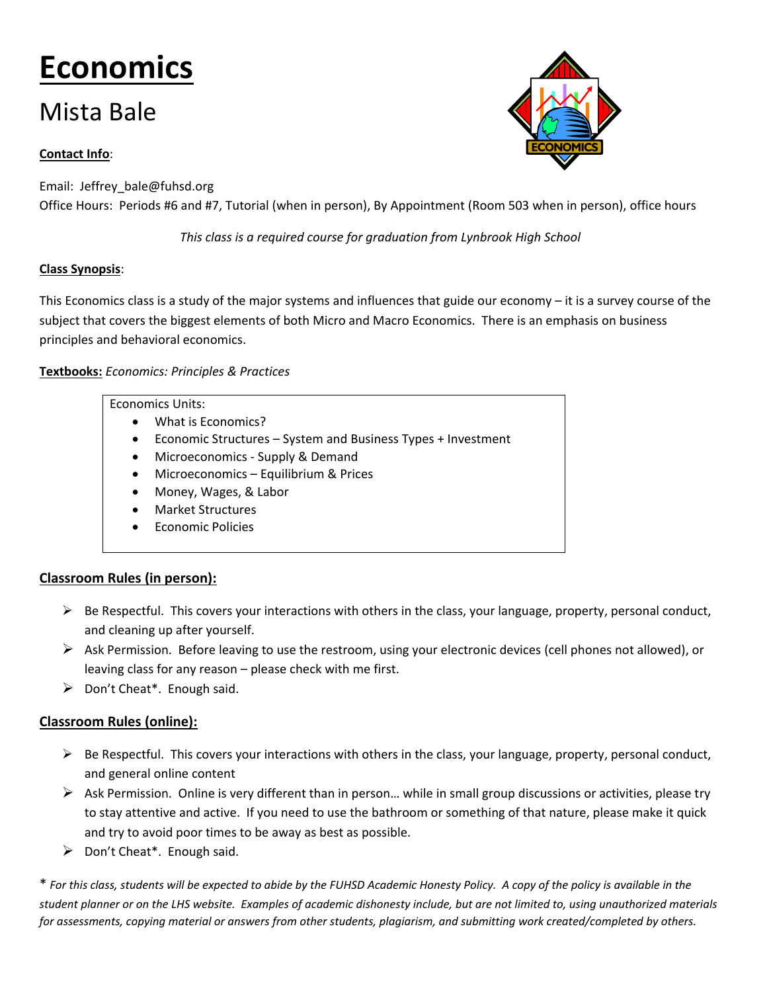# **Economics**

# Mista Bale

# **Contact Info**:

Email: Jeffrey\_bale@fuhsd.org Office Hours: Periods #6 and #7, Tutorial (when in person), By Appointment (Room 503 when in person), office hours

*This class is a required course for graduation from Lynbrook High School*

# **Class Synopsis**:

This Economics class is a study of the major systems and influences that guide our economy – it is a survey course of the subject that covers the biggest elements of both Micro and Macro Economics. There is an emphasis on business principles and behavioral economics.

### **Textbooks:** *Economics: Principles & Practices*

#### Economics Units:

- What is Economics?
- Economic Structures System and Business Types + Investment
- Microeconomics Supply & Demand
- Microeconomics Equilibrium & Prices
- Money, Wages, & Labor
- Market Structures
- Economic Policies

# **Classroom Rules (in person):**

- $\triangleright$  Be Respectful. This covers your interactions with others in the class, your language, property, personal conduct, and cleaning up after yourself.
- $\triangleright$  Ask Permission. Before leaving to use the restroom, using your electronic devices (cell phones not allowed), or leaving class for any reason – please check with me first.
- $\triangleright$  Don't Cheat\*. Enough said.

# **Classroom Rules (online):**

- $\triangleright$  Be Respectful. This covers your interactions with others in the class, your language, property, personal conduct, and general online content
- $\triangleright$  Ask Permission. Online is very different than in person... while in small group discussions or activities, please try to stay attentive and active. If you need to use the bathroom or something of that nature, please make it quick and try to avoid poor times to be away as best as possible.
- $\triangleright$  Don't Cheat\*. Enough said.

\* *For this class, students will be expected to abide by the FUHSD Academic Honesty Policy. A copy of the policy is available in the student planner or on the LHS website. Examples of academic dishonesty include, but are not limited to, using unauthorized materials*  for assessments, copying material or answers from other students, plagiarism, and submitting work created/completed by others.

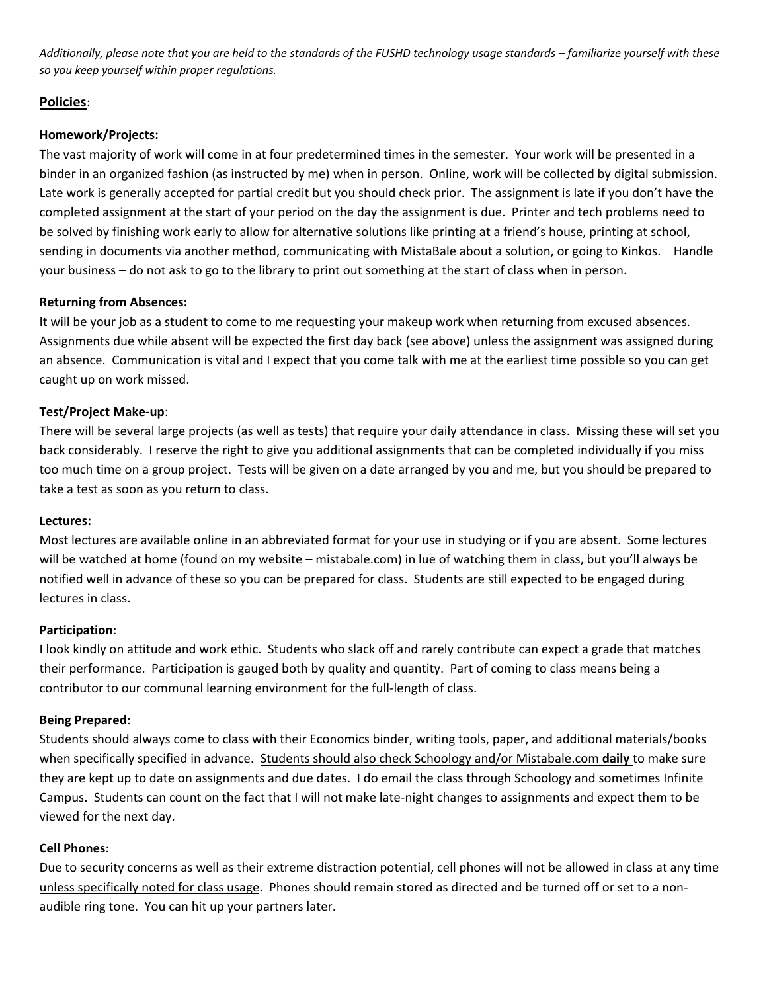*Additionally, please note that you are held to the standards of the FUSHD technology usage standards – familiarize yourself with these so you keep yourself within proper regulations.*

#### **Policies**:

#### **Homework/Projects:**

The vast majority of work will come in at four predetermined times in the semester. Your work will be presented in a binder in an organized fashion (as instructed by me) when in person. Online, work will be collected by digital submission. Late work is generally accepted for partial credit but you should check prior. The assignment is late if you don't have the completed assignment at the start of your period on the day the assignment is due. Printer and tech problems need to be solved by finishing work early to allow for alternative solutions like printing at a friend's house, printing at school, sending in documents via another method, communicating with MistaBale about a solution, or going to Kinkos. Handle your business – do not ask to go to the library to print out something at the start of class when in person.

#### **Returning from Absences:**

It will be your job as a student to come to me requesting your makeup work when returning from excused absences. Assignments due while absent will be expected the first day back (see above) unless the assignment was assigned during an absence. Communication is vital and I expect that you come talk with me at the earliest time possible so you can get caught up on work missed.

#### **Test/Project Make-up**:

There will be several large projects (as well as tests) that require your daily attendance in class. Missing these will set you back considerably. I reserve the right to give you additional assignments that can be completed individually if you miss too much time on a group project. Tests will be given on a date arranged by you and me, but you should be prepared to take a test as soon as you return to class.

#### **Lectures:**

Most lectures are available online in an abbreviated format for your use in studying or if you are absent. Some lectures will be watched at home (found on my website – mistabale.com) in lue of watching them in class, but you'll always be notified well in advance of these so you can be prepared for class. Students are still expected to be engaged during lectures in class.

#### **Participation**:

I look kindly on attitude and work ethic. Students who slack off and rarely contribute can expect a grade that matches their performance. Participation is gauged both by quality and quantity. Part of coming to class means being a contributor to our communal learning environment for the full-length of class.

#### **Being Prepared**:

Students should always come to class with their Economics binder, writing tools, paper, and additional materials/books when specifically specified in advance. Students should also check Schoology and/or Mistabale.com **daily** to make sure they are kept up to date on assignments and due dates. I do email the class through Schoology and sometimes Infinite Campus. Students can count on the fact that I will not make late-night changes to assignments and expect them to be viewed for the next day.

#### **Cell Phones**:

Due to security concerns as well as their extreme distraction potential, cell phones will not be allowed in class at any time unless specifically noted for class usage. Phones should remain stored as directed and be turned off or set to a nonaudible ring tone. You can hit up your partners later.